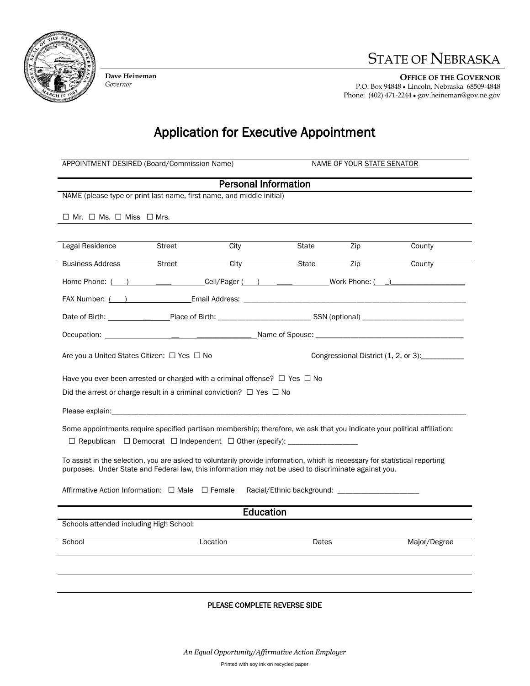

**Dave Heineman** *Governor*

## STATE OF NEBRASKA

**OFFICE OF THE GOVERNOR** P.O. Box 94848 ● Lincoln, Nebraska 68509-4848 Phone: (402) 471-2244 **●·**gov.heineman@gov.ne.gov

Application for Executive Appointment

| APPOINTMENT DESIRED (Board/Commission Name)                                                                                                                                                                                        |               |                             | NAME OF YOUR STATE SENATOR |                                                |              |  |
|------------------------------------------------------------------------------------------------------------------------------------------------------------------------------------------------------------------------------------|---------------|-----------------------------|----------------------------|------------------------------------------------|--------------|--|
|                                                                                                                                                                                                                                    |               | <b>Personal Information</b> |                            |                                                |              |  |
| NAME (please type or print last name, first name, and middle initial)                                                                                                                                                              |               |                             |                            |                                                |              |  |
| $\Box$ Mr. $\Box$ Ms. $\Box$ Miss $\Box$ Mrs.                                                                                                                                                                                      |               |                             |                            |                                                |              |  |
|                                                                                                                                                                                                                                    |               |                             |                            |                                                |              |  |
| Legal Residence                                                                                                                                                                                                                    | Street        | City                        | State                      | Zip                                            | County       |  |
| <b>Business Address</b>                                                                                                                                                                                                            | <b>Street</b> | City                        | State                      | Zip                                            | County       |  |
|                                                                                                                                                                                                                                    |               |                             |                            | Home Phone: ( ) Cell/Pager ( ) Work Phone: ( ) |              |  |
|                                                                                                                                                                                                                                    |               |                             |                            |                                                |              |  |
|                                                                                                                                                                                                                                    |               |                             |                            |                                                |              |  |
|                                                                                                                                                                                                                                    |               |                             |                            |                                                |              |  |
| Are you a United States Citizen: $\Box$ Yes $\Box$ No<br>Congressional District (1, 2, or 3):                                                                                                                                      |               |                             |                            |                                                |              |  |
| Have you ever been arrested or charged with a criminal offense? $\Box$ Yes $\Box$ No                                                                                                                                               |               |                             |                            |                                                |              |  |
| Did the arrest or charge result in a criminal conviction? $\Box$ Yes $\Box$ No                                                                                                                                                     |               |                             |                            |                                                |              |  |
| Please explain: Note of the second contract the second contract of the second contract of the second contract of the second contract of the second contract of the second contract of the second contract of the second contra     |               |                             |                            |                                                |              |  |
| Some appointments require specified partisan membership; therefore, we ask that you indicate your political affiliation:<br>□ Republican □ Democrat □ Independent □ Other (specify): _______________________                       |               |                             |                            |                                                |              |  |
| To assist in the selection, you are asked to voluntarily provide information, which is necessary for statistical reporting<br>purposes. Under State and Federal law, this information may not be used to discriminate against you. |               |                             |                            |                                                |              |  |
| Affirmative Action Information: $\Box$ Male $\Box$ Female                                                                                                                                                                          |               |                             |                            |                                                |              |  |
|                                                                                                                                                                                                                                    |               | Education                   |                            |                                                |              |  |
| Schools attended including High School:                                                                                                                                                                                            |               |                             |                            |                                                |              |  |
| School                                                                                                                                                                                                                             |               | Location                    | Dates                      |                                                | Major/Degree |  |
|                                                                                                                                                                                                                                    |               |                             |                            |                                                |              |  |
|                                                                                                                                                                                                                                    |               |                             |                            |                                                |              |  |
|                                                                                                                                                                                                                                    |               |                             |                            |                                                |              |  |

## PLEASE COMPLETE REVERSE SIDE